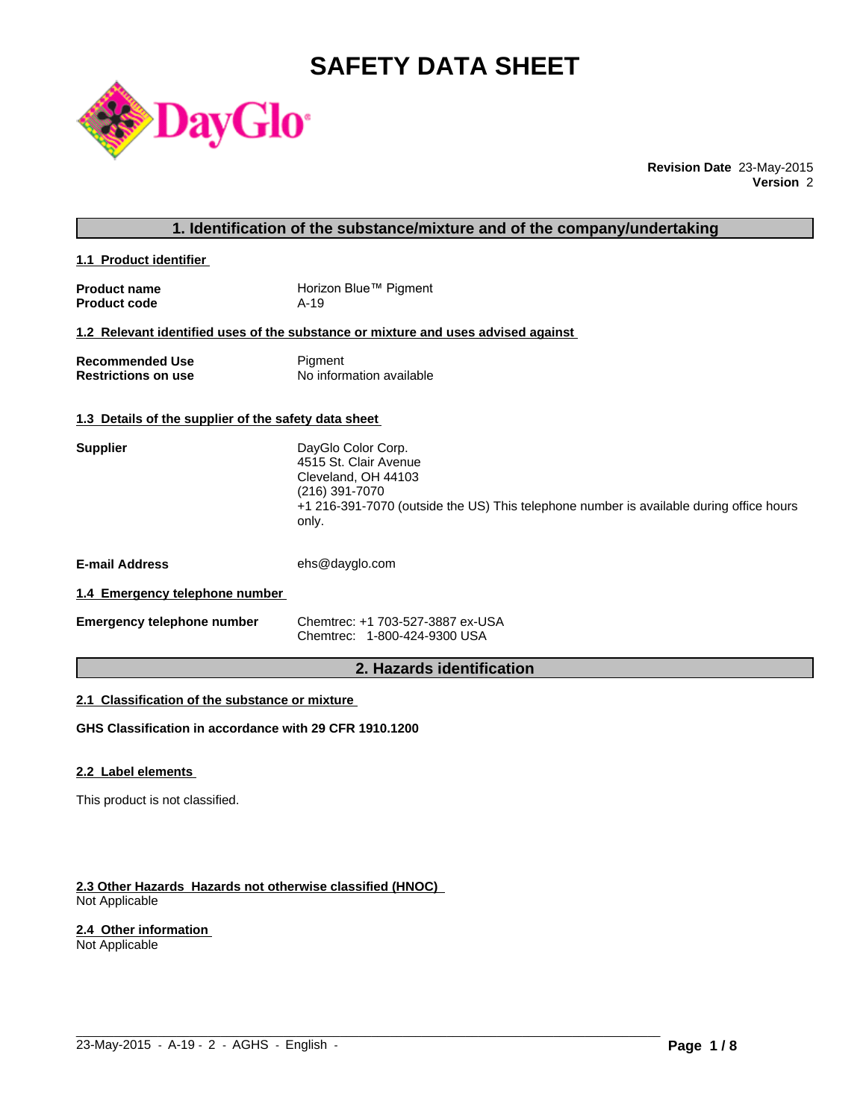# **SAFETY DATA SHEET**



**Revision Date** 23-May-2015 **Version** 2

### **1. Identification of the substance/mixture and of the company/undertaking**

**1.1 Product identifier** 

| <b>Product name</b> | Horizon Blue™ Pigment |
|---------------------|-----------------------|
| <b>Product code</b> | A-19                  |

#### **1.2 Relevant identified uses of the substance or mixture and uses advised against**

| <b>Recommended Use</b>     | Pigment                  |
|----------------------------|--------------------------|
| <b>Restrictions on use</b> | No information available |

### **1.3 Details of the supplier of the safety data sheet**

| <b>Supplier</b>                | DayGlo Color Corp.<br>4515 St. Clair Avenue<br>Cleveland, OH 44103<br>(216) 391-7070<br>+1 216-391-7070 (outside the US) This telephone number is available during office hours<br>only. |
|--------------------------------|------------------------------------------------------------------------------------------------------------------------------------------------------------------------------------------|
| <b>E-mail Address</b>          | ehs@dayglo.com                                                                                                                                                                           |
| 1.4 Emergency telephone number |                                                                                                                                                                                          |

| <b>Emergency telephone number</b> | Chemtrec: +1 703-527-3887 ex-USA |
|-----------------------------------|----------------------------------|
|                                   | Chemtrec: 1-800-424-9300 USA     |

# **2. Hazards identification**

 $\_$  ,  $\_$  ,  $\_$  ,  $\_$  ,  $\_$  ,  $\_$  ,  $\_$  ,  $\_$  ,  $\_$  ,  $\_$  ,  $\_$  ,  $\_$  ,  $\_$  ,  $\_$  ,  $\_$  ,  $\_$  ,  $\_$  ,  $\_$  ,  $\_$  ,  $\_$  ,  $\_$  ,  $\_$  ,  $\_$  ,  $\_$  ,  $\_$  ,  $\_$  ,  $\_$  ,  $\_$  ,  $\_$  ,  $\_$  ,  $\_$  ,  $\_$  ,  $\_$  ,  $\_$  ,  $\_$  ,  $\_$  ,  $\_$  ,

# **2.1 Classification of the substance or mixture**

**GHS Classification in accordance with 29 CFR 1910.1200**

#### **2.2 Label elements**

This product is not classified.

#### **2.3 Other Hazards Hazards not otherwise classified (HNOC)**  Not Applicable

#### **2.4 Other information**

Not Applicable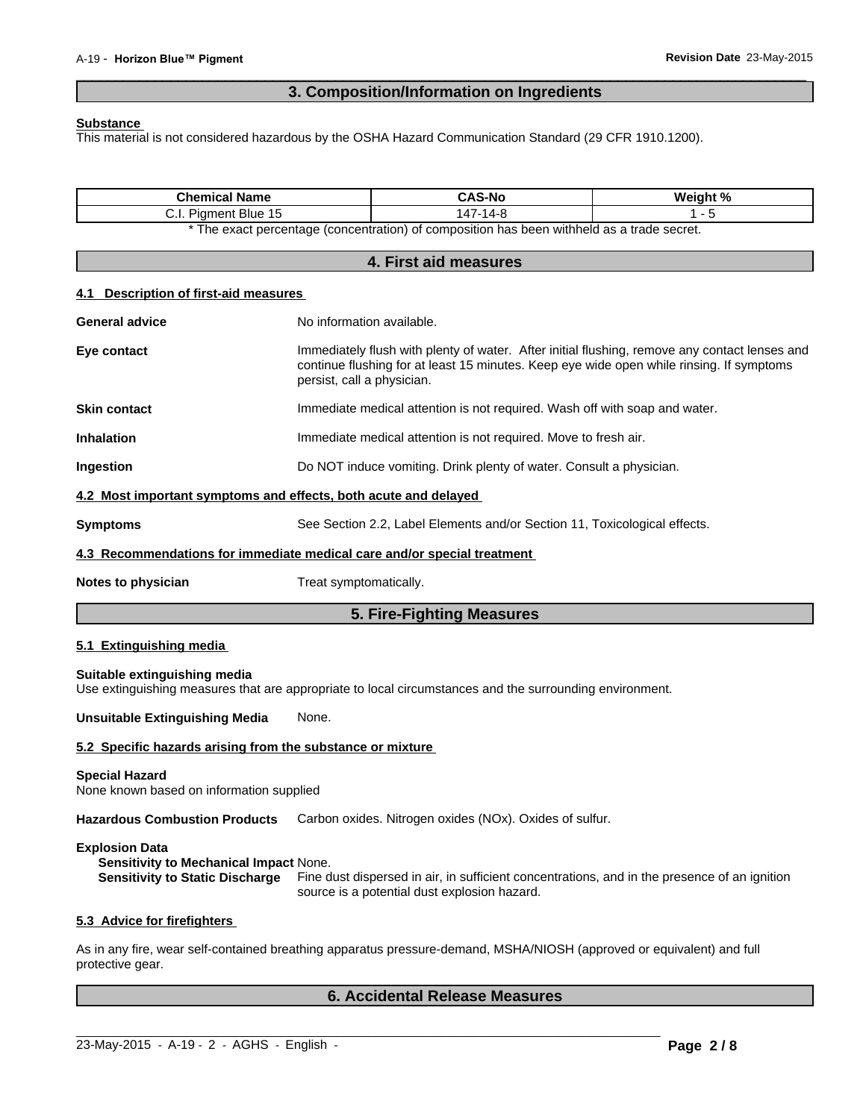# **3. Composition/Information on Ingredients**

 $\overline{\phantom{a}}$  ,  $\overline{\phantom{a}}$  ,  $\overline{\phantom{a}}$  ,  $\overline{\phantom{a}}$  ,  $\overline{\phantom{a}}$  ,  $\overline{\phantom{a}}$  ,  $\overline{\phantom{a}}$  ,  $\overline{\phantom{a}}$  ,  $\overline{\phantom{a}}$  ,  $\overline{\phantom{a}}$  ,  $\overline{\phantom{a}}$  ,  $\overline{\phantom{a}}$  ,  $\overline{\phantom{a}}$  ,  $\overline{\phantom{a}}$  ,  $\overline{\phantom{a}}$  ,  $\overline{\phantom{a}}$ 

#### **Substance**

This material is not considered hazardous by the OSHA Hazard Communication Standard (29 CFR 1910.1200).

| <b>Chemical Name</b>                                                                                                                      |                            | <b>CAS-No</b>                                                                              | Weight %                                                                                                                                                                                  |
|-------------------------------------------------------------------------------------------------------------------------------------------|----------------------------|--------------------------------------------------------------------------------------------|-------------------------------------------------------------------------------------------------------------------------------------------------------------------------------------------|
| C.I. Pigment Blue 15                                                                                                                      |                            | 147-14-8                                                                                   | $1 - 5$                                                                                                                                                                                   |
|                                                                                                                                           |                            | * The exact percentage (concentration) of composition has been withheld as a trade secret. |                                                                                                                                                                                           |
|                                                                                                                                           |                            | 4. First aid measures                                                                      |                                                                                                                                                                                           |
| <b>Description of first-aid measures</b><br>4.1                                                                                           |                            |                                                                                            |                                                                                                                                                                                           |
| <b>General advice</b>                                                                                                                     | No information available.  |                                                                                            |                                                                                                                                                                                           |
| Eye contact                                                                                                                               | persist, call a physician. |                                                                                            | Immediately flush with plenty of water. After initial flushing, remove any contact lenses and<br>continue flushing for at least 15 minutes. Keep eye wide open while rinsing. If symptoms |
| <b>Skin contact</b>                                                                                                                       |                            | Immediate medical attention is not required. Wash off with soap and water.                 |                                                                                                                                                                                           |
| <b>Inhalation</b>                                                                                                                         |                            | Immediate medical attention is not required. Move to fresh air.                            |                                                                                                                                                                                           |
| Ingestion                                                                                                                                 |                            | Do NOT induce vomiting. Drink plenty of water. Consult a physician.                        |                                                                                                                                                                                           |
| 4.2 Most important symptoms and effects, both acute and delayed                                                                           |                            |                                                                                            |                                                                                                                                                                                           |
| <b>Symptoms</b>                                                                                                                           |                            | See Section 2.2, Label Elements and/or Section 11, Toxicological effects.                  |                                                                                                                                                                                           |
| 4.3 Recommendations for immediate medical care and/or special treatment                                                                   |                            |                                                                                            |                                                                                                                                                                                           |
| Notes to physician                                                                                                                        | Treat symptomatically.     |                                                                                            |                                                                                                                                                                                           |
|                                                                                                                                           |                            | 5. Fire-Fighting Measures                                                                  |                                                                                                                                                                                           |
| 5.1 Extinguishing media                                                                                                                   |                            |                                                                                            |                                                                                                                                                                                           |
| Suitable extinguishing media<br>Use extinguishing measures that are appropriate to local circumstances and the surrounding environment.   |                            |                                                                                            |                                                                                                                                                                                           |
| <b>Unsuitable Extinguishing Media</b><br>None.                                                                                            |                            |                                                                                            |                                                                                                                                                                                           |
| 5.2 Specific hazards arising from the substance or mixture                                                                                |                            |                                                                                            |                                                                                                                                                                                           |
| <b>Special Hazard</b><br>None known based on information supplied                                                                         |                            |                                                                                            |                                                                                                                                                                                           |
| Hazardous Combustion Products Carbon oxides. Nitrogen oxides (NOx). Oxides of sulfur.                                                     |                            |                                                                                            |                                                                                                                                                                                           |
| <b>Explosion Data</b><br>Sensitivity to Mechanical Impact None.<br><b>Sensitivity to Static Discharge</b>                                 |                            | source is a potential dust explosion hazard.                                               | Fine dust dispersed in air, in sufficient concentrations, and in the presence of an ignition                                                                                              |
| 5.3 Advice for firefighters                                                                                                               |                            |                                                                                            |                                                                                                                                                                                           |
| As in any fire, wear self-contained breathing apparatus pressure-demand, MSHA/NIOSH (approved or equivalent) and full<br>protective gear. |                            |                                                                                            |                                                                                                                                                                                           |
|                                                                                                                                           |                            | <b>6. Accidental Release Measures</b>                                                      |                                                                                                                                                                                           |

 $\_$  ,  $\_$  ,  $\_$  ,  $\_$  ,  $\_$  ,  $\_$  ,  $\_$  ,  $\_$  ,  $\_$  ,  $\_$  ,  $\_$  ,  $\_$  ,  $\_$  ,  $\_$  ,  $\_$  ,  $\_$  ,  $\_$  ,  $\_$  ,  $\_$  ,  $\_$  ,  $\_$  ,  $\_$  ,  $\_$  ,  $\_$  ,  $\_$  ,  $\_$  ,  $\_$  ,  $\_$  ,  $\_$  ,  $\_$  ,  $\_$  ,  $\_$  ,  $\_$  ,  $\_$  ,  $\_$  ,  $\_$  ,  $\_$  ,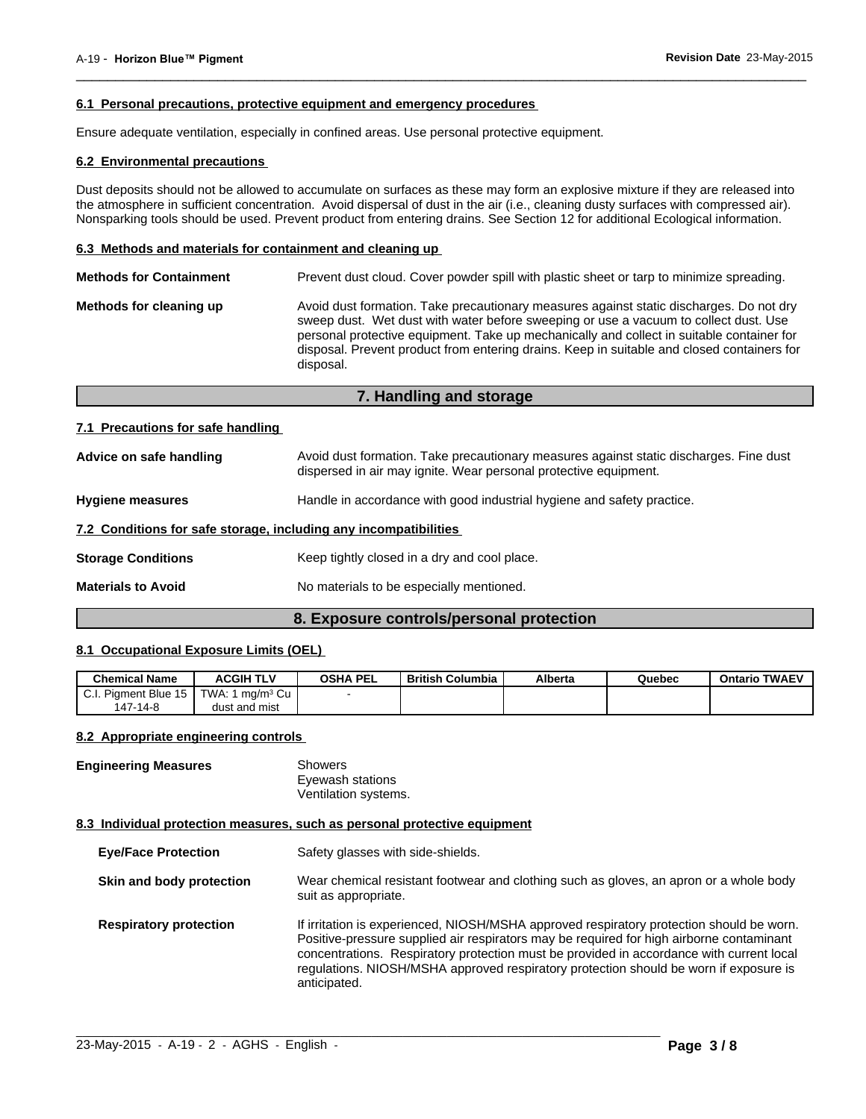#### **6.1 Personal precautions, protective equipment and emergency procedures**

Ensure adequate ventilation, especially in confined areas. Use personal protective equipment.

#### **6.2 Environmental precautions**

Dust deposits should not be allowed to accumulate on surfaces as these may form an explosive mixture if they are released into the atmosphere in sufficient concentration. Avoid dispersal of dust in the air (i.e., cleaning dusty surfaces with compressed air). Nonsparking tools should be used. Prevent product from entering drains. See Section 12 for additional Ecological information.

 $\overline{\phantom{a}}$  ,  $\overline{\phantom{a}}$  ,  $\overline{\phantom{a}}$  ,  $\overline{\phantom{a}}$  ,  $\overline{\phantom{a}}$  ,  $\overline{\phantom{a}}$  ,  $\overline{\phantom{a}}$  ,  $\overline{\phantom{a}}$  ,  $\overline{\phantom{a}}$  ,  $\overline{\phantom{a}}$  ,  $\overline{\phantom{a}}$  ,  $\overline{\phantom{a}}$  ,  $\overline{\phantom{a}}$  ,  $\overline{\phantom{a}}$  ,  $\overline{\phantom{a}}$  ,  $\overline{\phantom{a}}$ 

#### **6.3 Methods and materials for containment and cleaning up**

| <b>Methods for Containment</b> | Prevent dust cloud. Cover powder spill with plastic sheet or tarp to minimize spreading.                                                                                                                                                                                                                                                                                                |
|--------------------------------|-----------------------------------------------------------------------------------------------------------------------------------------------------------------------------------------------------------------------------------------------------------------------------------------------------------------------------------------------------------------------------------------|
| Methods for cleaning up        | Avoid dust formation. Take precautionary measures against static discharges. Do not dry<br>sweep dust. Wet dust with water before sweeping or use a vacuum to collect dust. Use<br>personal protective equipment. Take up mechanically and collect in suitable container for<br>disposal. Prevent product from entering drains. Keep in suitable and closed containers for<br>disposal. |

# **7. Handling and storage**

#### **7.1 Precautions for safe handling**

| Advice on safe handling                                          | Avoid dust formation. Take precautionary measures against static discharges. Fine dust<br>dispersed in air may ignite. Wear personal protective equipment. |  |
|------------------------------------------------------------------|------------------------------------------------------------------------------------------------------------------------------------------------------------|--|
| <b>Hygiene measures</b>                                          | Handle in accordance with good industrial hygiene and safety practice.                                                                                     |  |
| 7.2 Conditions for safe storage, including any incompatibilities |                                                                                                                                                            |  |
| <b>Storage Conditions</b>                                        | Keep tightly closed in a dry and cool place.                                                                                                               |  |
| <b>Materials to Avoid</b>                                        | No materials to be especially mentioned.                                                                                                                   |  |
|                                                                  |                                                                                                                                                            |  |

#### **8. Exposure controls/personal protection**

#### **8.1 Occupational Exposure Limits (OEL)**

| <b>Chemical Name</b>                  | <b>ACGIH TLV</b>      | <b>OSHA PEL</b> | British Columbia | Alberta | Quebec | <b>Ontario TWAEV</b> |
|---------------------------------------|-----------------------|-----------------|------------------|---------|--------|----------------------|
| C.I. Piament Blue 15<br>- 132<br>◡.୲. | TWA: L<br>∟ma/mª Cu J |                 |                  |         |        |                      |
| 147-14-8                              | dust and mist         |                 |                  |         |        |                      |

#### **8.2 Appropriate engineering controls**

| <b>Engineering Measures</b> | Showers              |
|-----------------------------|----------------------|
|                             | Eyewash stations     |
|                             | Ventilation systems. |

#### **8.3 Individual protection measures, such as personal protective equipment**

| <b>Eye/Face Protection</b>    | Safety glasses with side-shields.                                                                                                                                                                                                                                                                                                                                                          |
|-------------------------------|--------------------------------------------------------------------------------------------------------------------------------------------------------------------------------------------------------------------------------------------------------------------------------------------------------------------------------------------------------------------------------------------|
| Skin and body protection      | Wear chemical resistant footwear and clothing such as gloves, an apron or a whole body<br>suit as appropriate.                                                                                                                                                                                                                                                                             |
| <b>Respiratory protection</b> | If irritation is experienced, NIOSH/MSHA approved respiratory protection should be worn.<br>Positive-pressure supplied air respirators may be required for high airborne contaminant<br>concentrations. Respiratory protection must be provided in accordance with current local<br>requilations. NIOSH/MSHA approved respiratory protection should be worn if exposure is<br>anticipated. |

 $\_$  ,  $\_$  ,  $\_$  ,  $\_$  ,  $\_$  ,  $\_$  ,  $\_$  ,  $\_$  ,  $\_$  ,  $\_$  ,  $\_$  ,  $\_$  ,  $\_$  ,  $\_$  ,  $\_$  ,  $\_$  ,  $\_$  ,  $\_$  ,  $\_$  ,  $\_$  ,  $\_$  ,  $\_$  ,  $\_$  ,  $\_$  ,  $\_$  ,  $\_$  ,  $\_$  ,  $\_$  ,  $\_$  ,  $\_$  ,  $\_$  ,  $\_$  ,  $\_$  ,  $\_$  ,  $\_$  ,  $\_$  ,  $\_$  ,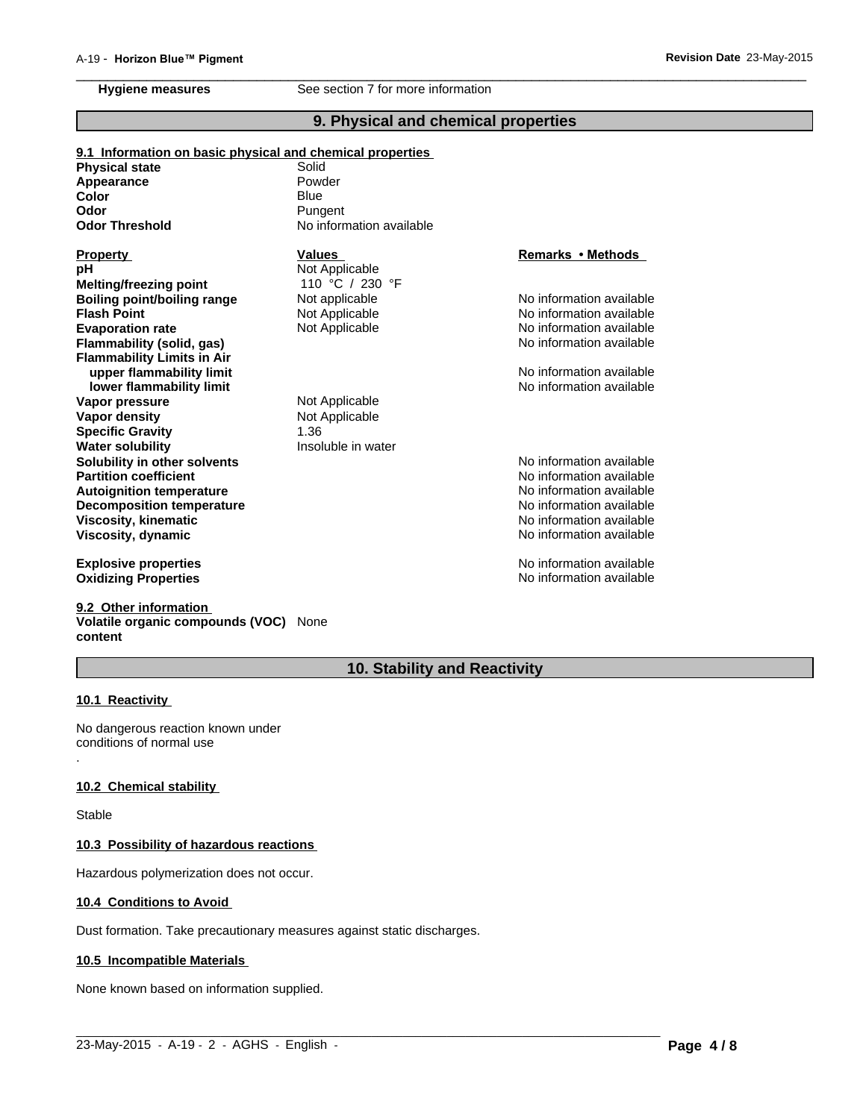# **9. Physical and chemical properties**

No information available

**Remarks•Methods**

No information available

No information available

No information available

No information available

No information available

No information available

No information available

**9.1 Information on basic physical and chemical properties Physical state** Solid **Odor Threshold** No information available **Viscosity, kinematic Flash Point** Not Applicable **Viscosity, dynamic Color Blue Evaporation rate** Not Applicable **Flammability (solid, gas) Appearance Flammability Limits in Air Property Values upper flammability limit**  $\blacksquare$  No information available **lower flammability limit limit lower flammability limit No information available Odor Vapor pressure** Not Applicable **pH** Not Applicable **Pungent Vapor density** Not Applicable **Specific Gravity** 1.36 Powder **Melting/freezing point Water solubility Insoluble in water** 110 °C / 230 °F **Solubility in other solvents** No information available **Partition coefficient**<br> **Partition coefficient**<br> **Autoignition temperature**<br> **Autoignition temperature Boiling point/boiling range** Not applicable **Autoignition temperature Decomposition temperature**

**Explosive properties Oxidizing Properties No information available No information available** 

#### **9.2 Other information Volatile organic compounds (VOC)** None

**content**

# **10. Stability and Reactivity**

 $\_$  ,  $\_$  ,  $\_$  ,  $\_$  ,  $\_$  ,  $\_$  ,  $\_$  ,  $\_$  ,  $\_$  ,  $\_$  ,  $\_$  ,  $\_$  ,  $\_$  ,  $\_$  ,  $\_$  ,  $\_$  ,  $\_$  ,  $\_$  ,  $\_$  ,  $\_$  ,  $\_$  ,  $\_$  ,  $\_$  ,  $\_$  ,  $\_$  ,  $\_$  ,  $\_$  ,  $\_$  ,  $\_$  ,  $\_$  ,  $\_$  ,  $\_$  ,  $\_$  ,  $\_$  ,  $\_$  ,  $\_$  ,  $\_$  ,

#### **10.1 Reactivity**

.

No dangerous reaction known under conditions of normal use

#### **10.2 Chemical stability**

**Stable** 

#### **10.3 Possibility of hazardous reactions**

Hazardous polymerization does not occur.

#### **10.4 Conditions to Avoid**

Dust formation. Take precautionary measures against static discharges.

#### **10.5 Incompatible Materials**

None known based on information supplied.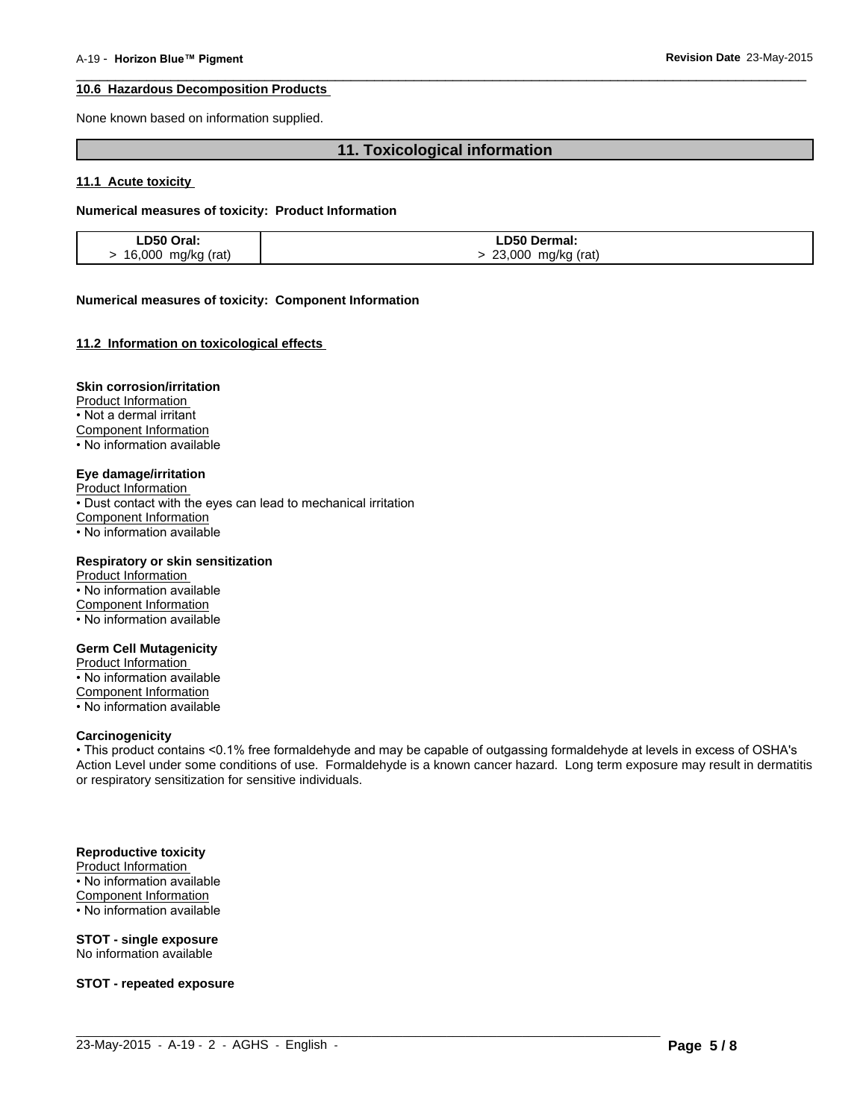#### **10.6 Hazardous Decomposition Products**

None known based on information supplied.

### **11. Toxicological information**

 $\overline{\phantom{a}}$  ,  $\overline{\phantom{a}}$  ,  $\overline{\phantom{a}}$  ,  $\overline{\phantom{a}}$  ,  $\overline{\phantom{a}}$  ,  $\overline{\phantom{a}}$  ,  $\overline{\phantom{a}}$  ,  $\overline{\phantom{a}}$  ,  $\overline{\phantom{a}}$  ,  $\overline{\phantom{a}}$  ,  $\overline{\phantom{a}}$  ,  $\overline{\phantom{a}}$  ,  $\overline{\phantom{a}}$  ,  $\overline{\phantom{a}}$  ,  $\overline{\phantom{a}}$  ,  $\overline{\phantom{a}}$ 

#### **11.1 Acute toxicity**

### **Numerical measures of toxicity: Product Information**

| LD50 Oral:           | <b>LD50 Dermal:</b>  |
|----------------------|----------------------|
| > 16,000 mg/kg (rat) | > 23,000 mg/kg (rat) |

#### **Numerical measures of toxicity: Component Information**

#### **11.2 Information on toxicological effects**

#### **Skin corrosion/irritation**

Product Information • Not a dermal irritant Component Information • No information available

#### **Eye damage/irritation**

Product Information • Dust contact with the eyes can lead to mechanical irritation Component Information  $\cdot$  No information available

#### **Respiratory or skin sensitization**

Product Information • No information available Component Information • No information available

#### **Germ Cell Mutagenicity**

Product Information • No information available Component Information • No information available

#### **Carcinogenicity**

• This product contains <0.1% free formaldehyde and may be capable of outgassing formaldehyde at levels in excess of OSHA's Action Level under some conditions of use. Formaldehyde is a known cancer hazard. Long term exposure may result in dermatitis or respiratory sensitization for sensitive individuals.

 $\_$  ,  $\_$  ,  $\_$  ,  $\_$  ,  $\_$  ,  $\_$  ,  $\_$  ,  $\_$  ,  $\_$  ,  $\_$  ,  $\_$  ,  $\_$  ,  $\_$  ,  $\_$  ,  $\_$  ,  $\_$  ,  $\_$  ,  $\_$  ,  $\_$  ,  $\_$  ,  $\_$  ,  $\_$  ,  $\_$  ,  $\_$  ,  $\_$  ,  $\_$  ,  $\_$  ,  $\_$  ,  $\_$  ,  $\_$  ,  $\_$  ,  $\_$  ,  $\_$  ,  $\_$  ,  $\_$  ,  $\_$  ,  $\_$  ,

#### **Reproductive toxicity**

Product Information • No information available Component Information • No information available

## **STOT - single exposure**

No information available

**STOT - repeated exposure**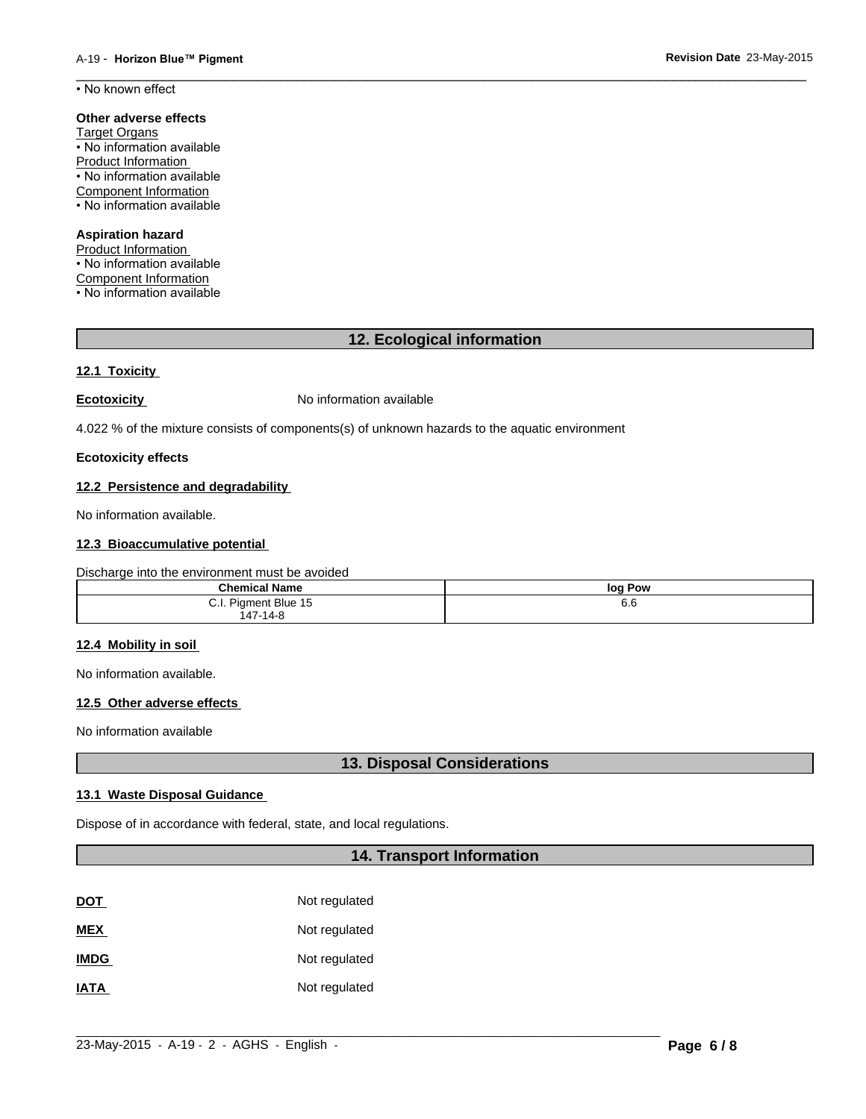$\overline{\phantom{a}}$  ,  $\overline{\phantom{a}}$  ,  $\overline{\phantom{a}}$  ,  $\overline{\phantom{a}}$  ,  $\overline{\phantom{a}}$  ,  $\overline{\phantom{a}}$  ,  $\overline{\phantom{a}}$  ,  $\overline{\phantom{a}}$  ,  $\overline{\phantom{a}}$  ,  $\overline{\phantom{a}}$  ,  $\overline{\phantom{a}}$  ,  $\overline{\phantom{a}}$  ,  $\overline{\phantom{a}}$  ,  $\overline{\phantom{a}}$  ,  $\overline{\phantom{a}}$  ,  $\overline{\phantom{a}}$ • No known effect

#### **Other adverse effects**

Target Organs • No information available Product Information • No information available Component Information • No information available

# **Aspiration hazard**

Product Information

• No information available

Component Information • No information available

**12. Ecological information**

#### **12.1 Toxicity**

**Ecotoxicity No information available** 

4.022 % of the mixture consists of components(s) of unknown hazards to the aquatic environment

#### **Ecotoxicity effects**

#### **12.2 Persistence and degradability**

No information available.

#### **12.3 Bioaccumulative potential**

#### Discharge into the environment must be avoided

| <b>Chemical Name</b> | log Pow |
|----------------------|---------|
| C.I. Pigment Blue 15 | o.o     |
| $147 - 14 - 8$       |         |

#### **12.4 Mobility in soil**

No information available.

#### **12.5 Other adverse effects**

No information available

**13. Disposal Considerations**

#### **13.1 Waste Disposal Guidance**

Dispose of in accordance with federal, state, and local regulations.

# **14. Transport Information**

| <b>DOT</b>  | Not regulated |
|-------------|---------------|
| <b>MEX</b>  | Not regulated |
| <b>IMDG</b> | Not regulated |
| <b>IATA</b> | Not regulated |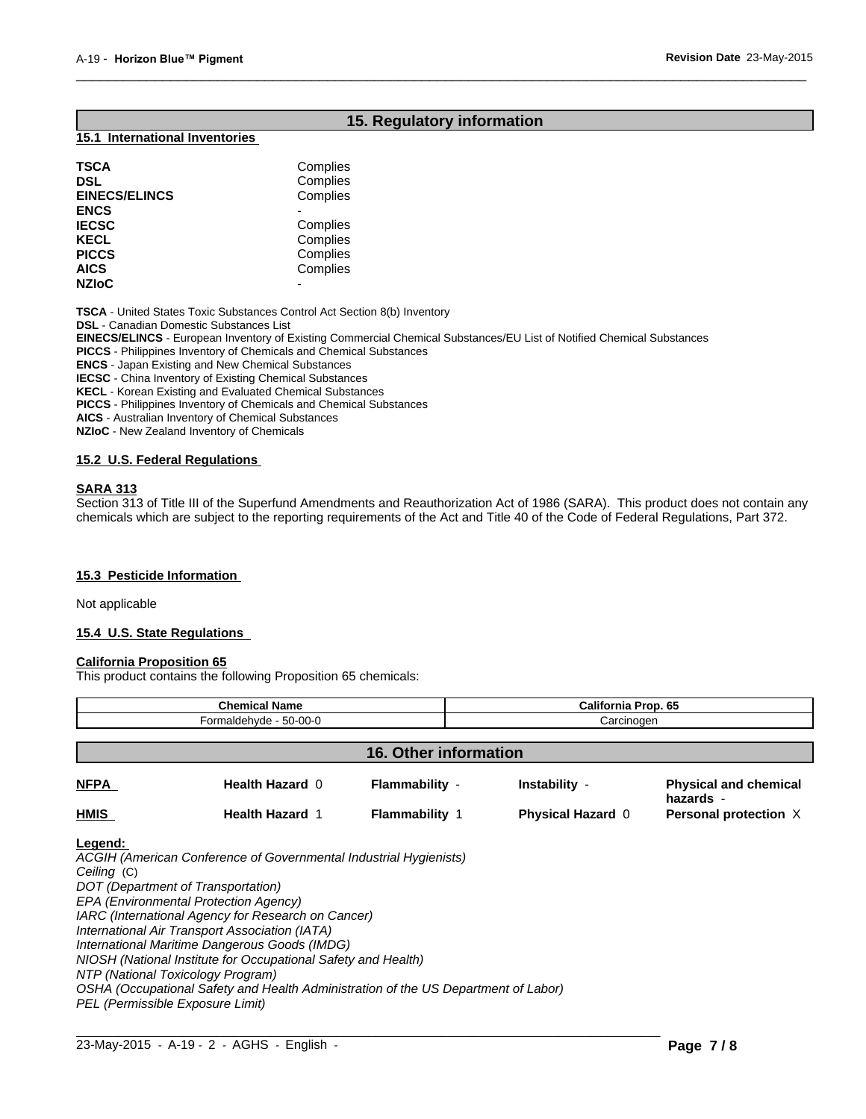# **15. Regulatory information**

 $\overline{\phantom{a}}$  ,  $\overline{\phantom{a}}$  ,  $\overline{\phantom{a}}$  ,  $\overline{\phantom{a}}$  ,  $\overline{\phantom{a}}$  ,  $\overline{\phantom{a}}$  ,  $\overline{\phantom{a}}$  ,  $\overline{\phantom{a}}$  ,  $\overline{\phantom{a}}$  ,  $\overline{\phantom{a}}$  ,  $\overline{\phantom{a}}$  ,  $\overline{\phantom{a}}$  ,  $\overline{\phantom{a}}$  ,  $\overline{\phantom{a}}$  ,  $\overline{\phantom{a}}$  ,  $\overline{\phantom{a}}$ 

#### **15.1 International Inventories**

| <b>TSCA</b>          | Complies |  |
|----------------------|----------|--|
| DSL                  | Complies |  |
| <b>EINECS/ELINCS</b> | Complies |  |
| <b>ENCS</b>          |          |  |
| <b>IECSC</b>         | Complies |  |
| KECL                 | Complies |  |
| <b>PICCS</b>         | Complies |  |
| AICS                 | Complies |  |
| <b>NZIoC</b>         | -        |  |
|                      |          |  |

**TSCA** - United States Toxic Substances Control Act Section 8(b) Inventory

**DSL** - Canadian Domestic Substances List

**EINECS/ELINCS** - European Inventory of Existing Commercial Chemical Substances/EU List of Notified Chemical Substances

**PICCS** - Philippines Inventory of Chemicals and Chemical Substances

**ENCS** - Japan Existing and New Chemical Substances

**IECSC** - China Inventory of Existing Chemical Substances

**KECL** - Korean Existing and Evaluated Chemical Substances

**PICCS** - Philippines Inventory of Chemicals and Chemical Substances

**AICS** - Australian Inventory of Chemical Substances

**NZIoC** - New Zealand Inventory of Chemicals

#### **15.2 U.S. Federal Regulations**

#### **SARA 313**

Section 313 of Title III of the Superfund Amendments and Reauthorization Act of 1986 (SARA). This product does not contain any chemicals which are subject to the reporting requirements of the Act and Title 40 of the Code of Federal Regulations, Part 372.

#### **15.3 Pesticide Information**

Not applicable

#### **15.4 U.S. State Regulations**

#### **California Proposition 65**

This product contains the following Proposition 65 chemicals:

|                                                                                                                            | <b>Chemical Name</b>                                                                                                                                                                                                                                                                                                                                                                                                       |                       |                          | <b>California Prop. 65</b>                |  |
|----------------------------------------------------------------------------------------------------------------------------|----------------------------------------------------------------------------------------------------------------------------------------------------------------------------------------------------------------------------------------------------------------------------------------------------------------------------------------------------------------------------------------------------------------------------|-----------------------|--------------------------|-------------------------------------------|--|
| Formaldehyde - 50-00-0                                                                                                     |                                                                                                                                                                                                                                                                                                                                                                                                                            |                       | Carcinogen               |                                           |  |
| <b>16. Other information</b>                                                                                               |                                                                                                                                                                                                                                                                                                                                                                                                                            |                       |                          |                                           |  |
| <b>NFPA</b>                                                                                                                | <b>Health Hazard 0</b>                                                                                                                                                                                                                                                                                                                                                                                                     | Flammability -        | Instability -            | <b>Physical and chemical</b><br>hazards - |  |
| HMIS                                                                                                                       | <b>Health Hazard 1</b>                                                                                                                                                                                                                                                                                                                                                                                                     | <b>Flammability 1</b> | <b>Physical Hazard 0</b> | Personal protection X                     |  |
| Ceiling (C)<br>DOT (Department of Transportation)<br>NTP (National Toxicology Program)<br>PEL (Permissible Exposure Limit) | ACGIH (American Conference of Governmental Industrial Hygienists)<br>EPA (Environmental Protection Agency)<br>IARC (International Agency for Research on Cancer)<br>International Air Transport Association (IATA)<br>International Maritime Dangerous Goods (IMDG)<br>NIOSH (National Institute for Occupational Safety and Health)<br>OSHA (Occupational Safety and Health Administration of the US Department of Labor) |                       |                          |                                           |  |